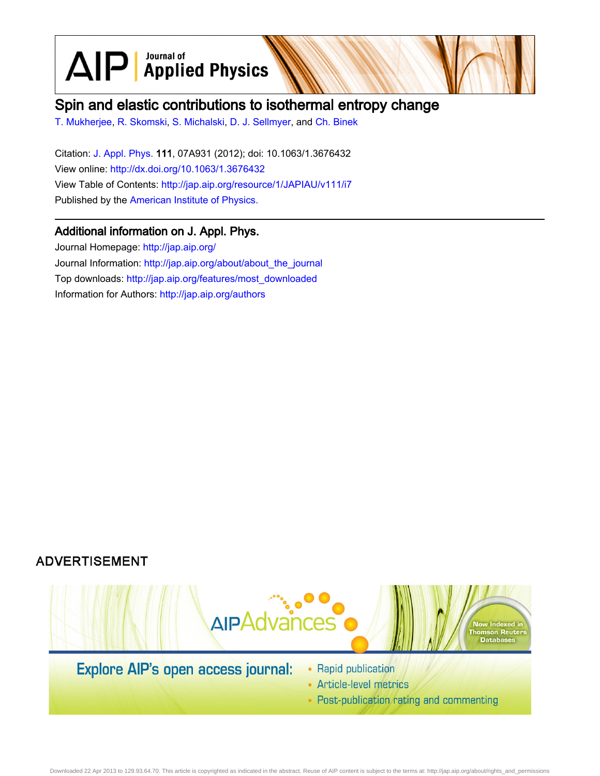$\text{AlP}$  Applied Physics

# Spin and elastic contributions to isothermal entropy change

[T. Mukherjee](http://jap.aip.org/search?sortby=newestdate&q=&searchzone=2&searchtype=searchin&faceted=faceted&key=AIP_ALL&possible1=T. Mukherjee&possible1zone=author&alias=&displayid=AIP&ver=pdfcov), [R. Skomski](http://jap.aip.org/search?sortby=newestdate&q=&searchzone=2&searchtype=searchin&faceted=faceted&key=AIP_ALL&possible1=R. Skomski&possible1zone=author&alias=&displayid=AIP&ver=pdfcov), [S. Michalski](http://jap.aip.org/search?sortby=newestdate&q=&searchzone=2&searchtype=searchin&faceted=faceted&key=AIP_ALL&possible1=S. Michalski&possible1zone=author&alias=&displayid=AIP&ver=pdfcov), [D. J. Sellmyer,](http://jap.aip.org/search?sortby=newestdate&q=&searchzone=2&searchtype=searchin&faceted=faceted&key=AIP_ALL&possible1=D. J. Sellmyer&possible1zone=author&alias=&displayid=AIP&ver=pdfcov) and [Ch. Binek](http://jap.aip.org/search?sortby=newestdate&q=&searchzone=2&searchtype=searchin&faceted=faceted&key=AIP_ALL&possible1=Ch. Binek&possible1zone=author&alias=&displayid=AIP&ver=pdfcov)

Citation: [J. Appl. Phys.](http://jap.aip.org/?ver=pdfcov) 111, 07A931 (2012); doi: 10.1063/1.3676432 View online: [http://dx.doi.org/10.1063/1.3676432](http://link.aip.org/link/doi/10.1063/1.3676432?ver=pdfcov) View Table of Contents: [http://jap.aip.org/resource/1/JAPIAU/v111/i7](http://jap.aip.org/resource/1/JAPIAU/v111/i7?ver=pdfcov) Published by the [American Institute of Physics.](http://www.aip.org/?ver=pdfcov)

# Additional information on J. Appl. Phys.

Journal Homepage: [http://jap.aip.org/](http://jap.aip.org/?ver=pdfcov) Journal Information: [http://jap.aip.org/about/about\\_the\\_journal](http://jap.aip.org/about/about_the_journal?ver=pdfcov) Top downloads: [http://jap.aip.org/features/most\\_downloaded](http://jap.aip.org/features/most_downloaded?ver=pdfcov) Information for Authors: [http://jap.aip.org/authors](http://jap.aip.org/authors?ver=pdfcov)

# **ADVERTISEMENT**



- Article-level metrics
- Post-publication rating and commenting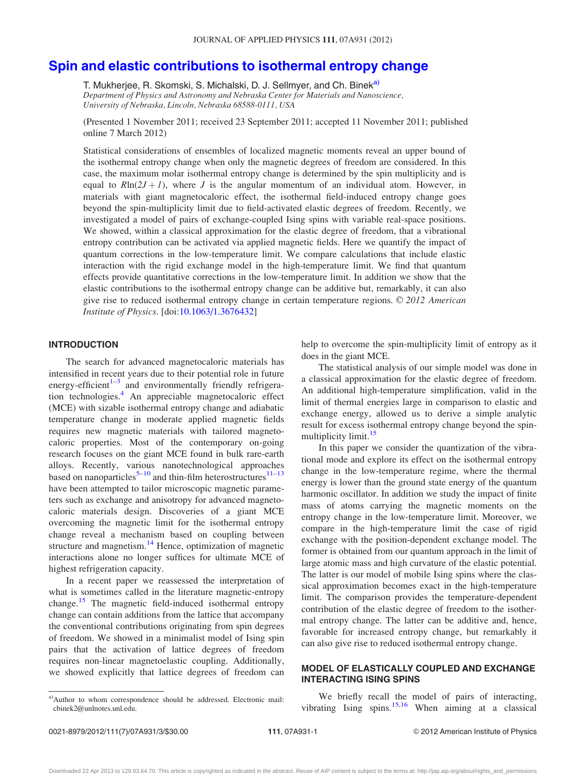## [Spin and elastic contributions to isothermal entropy change](http://dx.doi.org/10.1063/1.3676432)

T. Mukherjee, R. Skomski, S. Michalski, D. J. Sellmyer, and Ch. Binek<sup>a)</sup> Department of Physics and Astronomy and Nebraska Center for Materials and Nanoscience, University of Nebraska, Lincoln, Nebraska 68588-0111, USA

(Presented 1 November 2011; received 23 September 2011; accepted 11 November 2011; published online 7 March 2012)

Statistical considerations of ensembles of localized magnetic moments reveal an upper bound of the isothermal entropy change when only the magnetic degrees of freedom are considered. In this case, the maximum molar isothermal entropy change is determined by the spin multiplicity and is equal to  $R\ln(2J + I)$ , where J is the angular momentum of an individual atom. However, in materials with giant magnetocaloric effect, the isothermal field-induced entropy change goes beyond the spin-multiplicity limit due to field-activated elastic degrees of freedom. Recently, we investigated a model of pairs of exchange-coupled Ising spins with variable real-space positions. We showed, within a classical approximation for the elastic degree of freedom, that a vibrational entropy contribution can be activated via applied magnetic fields. Here we quantify the impact of quantum corrections in the low-temperature limit. We compare calculations that include elastic interaction with the rigid exchange model in the high-temperature limit. We find that quantum effects provide quantitative corrections in the low-temperature limit. In addition we show that the elastic contributions to the isothermal entropy change can be additive but, remarkably, it can also give rise to reduced isothermal entropy change in certain temperature regions.  $\odot$  2012 American Institute of Physics. [doi[:10.1063/1.3676432](http://dx.doi.org/10.1063/1.3676432)]

### INTRODUCTION

The search for advanced magnetocaloric materials has intensified in recent years due to their potential role in future energy-efficient $1-3$  and environmentally friendly refrigera-tion technologies.<sup>[4](#page-3-0)</sup> An appreciable magnetocaloric effect (MCE) with sizable isothermal entropy change and adiabatic temperature change in moderate applied magnetic fields requires new magnetic materials with tailored magnetocaloric properties. Most of the contemporary on-going research focuses on the giant MCE found in bulk rare-earth alloys. Recently, various nanotechnological approaches based on nanoparticles<sup>[5–10](#page-3-0)</sup> and thin-film heterostructures<sup>[11–13](#page-3-0)</sup> have been attempted to tailor microscopic magnetic parameters such as exchange and anisotropy for advanced magnetocaloric materials design. Discoveries of a giant MCE overcoming the magnetic limit for the isothermal entropy change reveal a mechanism based on coupling between structure and magnetism. $^{14}$  $^{14}$  $^{14}$  Hence, optimization of magnetic interactions alone no longer suffices for ultimate MCE of highest refrigeration capacity.

In a recent paper we reassessed the interpretation of what is sometimes called in the literature magnetic-entropy change.<sup>[15](#page-3-0)</sup> The magnetic field-induced isothermal entropy change can contain additions from the lattice that accompany the conventional contributions originating from spin degrees of freedom. We showed in a minimalist model of Ising spin pairs that the activation of lattice degrees of freedom requires non-linear magnetoelastic coupling. Additionally, we showed explicitly that lattice degrees of freedom can

help to overcome the spin-multiplicity limit of entropy as it does in the giant MCE.

The statistical analysis of our simple model was done in a classical approximation for the elastic degree of freedom. An additional high-temperature simplification, valid in the limit of thermal energies large in comparison to elastic and exchange energy, allowed us to derive a simple analytic result for excess isothermal entropy change beyond the spinmultiplicity limit.<sup>15</sup>

In this paper we consider the quantization of the vibrational mode and explore its effect on the isothermal entropy change in the low-temperature regime, where the thermal energy is lower than the ground state energy of the quantum harmonic oscillator. In addition we study the impact of finite mass of atoms carrying the magnetic moments on the entropy change in the low-temperature limit. Moreover, we compare in the high-temperature limit the case of rigid exchange with the position-dependent exchange model. The former is obtained from our quantum approach in the limit of large atomic mass and high curvature of the elastic potential. The latter is our model of mobile Ising spins where the classical approximation becomes exact in the high-temperature limit. The comparison provides the temperature-dependent contribution of the elastic degree of freedom to the isothermal entropy change. The latter can be additive and, hence, favorable for increased entropy change, but remarkably it can also give rise to reduced isothermal entropy change.

### MODEL OF ELASTICALLY COUPLED AND EXCHANGE INTERACTING ISING SPINS

We briefly recall the model of pairs of interacting, vibrating Ising spins. $15,16$  When aiming at a classical

a)Author to whom correspondence should be addressed. Electronic mail: cbinek2@unlnotes.unl.edu.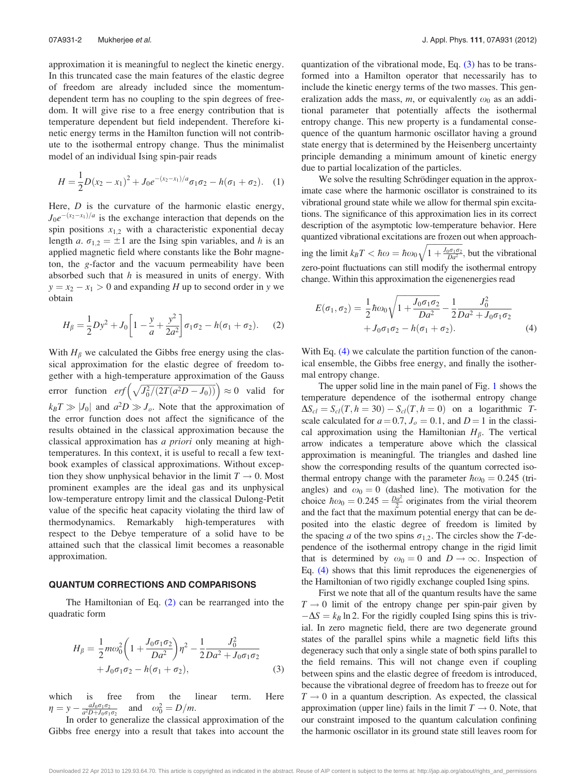approximation it is meaningful to neglect the kinetic energy. In this truncated case the main features of the elastic degree of freedom are already included since the momentumdependent term has no coupling to the spin degrees of freedom. It will give rise to a free energy contribution that is temperature dependent but field independent. Therefore kinetic energy terms in the Hamilton function will not contribute to the isothermal entropy change. Thus the minimalist model of an individual Ising spin-pair reads

$$
H = \frac{1}{2}D(x_2 - x_1)^2 + J_0e^{-(x_2 - x_1)/a}\sigma_1\sigma_2 - h(\sigma_1 + \sigma_2).
$$
 (1)

Here,  $D$  is the curvature of the harmonic elastic energy,  $J_0e^{-(x_2-x_1)/a}$  is the exchange interaction that depends on the spin positions  $x_{1,2}$  with a characteristic exponential decay length a.  $\sigma_{1,2} = \pm 1$  are the Ising spin variables, and h is an applied magnetic field where constants like the Bohr magneton, the g-factor and the vacuum permeability have been absorbed such that  $h$  is measured in units of energy. With  $y = x_2 - x_1 > 0$  and expanding H up to second order in y we obtain

$$
H_{\beta} = \frac{1}{2}Dy^2 + J_0 \left[1 - \frac{y}{a} + \frac{y^2}{2a^2}\right] \sigma_1 \sigma_2 - h(\sigma_1 + \sigma_2). \tag{2}
$$

With  $H_\beta$  we calculated the Gibbs free energy using the classical approximation for the elastic degree of freedom together with a high-temperature approximation of the Gauss error function  $erf\left(\sqrt{J_0^2/(2T(a^2D-J_0))}\right) \approx 0$  valid for  $k_BT \gg |J_0|$  and  $a^2D \gg J_o$ . Note that the approximation of the error function does not affect the significance of the results obtained in the classical approximation because the classical approximation has a priori only meaning at hightemperatures. In this context, it is useful to recall a few textbook examples of classical approximations. Without exception they show unphysical behavior in the limit  $T \to 0$ . Most prominent examples are the ideal gas and its unphysical low-temperature entropy limit and the classical Dulong-Petit value of the specific heat capacity violating the third law of thermodynamics. Remarkably high-temperatures with respect to the Debye temperature of a solid have to be attained such that the classical limit becomes a reasonable approximation.

#### QUANTUM CORRECTIONS AND COMPARISONS

The Hamiltonian of Eq. (2) can be rearranged into the quadratic form

$$
H_{\beta} = \frac{1}{2}m\omega_0^2 \left(1 + \frac{J_0 \sigma_1 \sigma_2}{Da^2}\right) \eta^2 - \frac{1}{2} \frac{J_0^2}{Da^2 + J_0 \sigma_1 \sigma_2} + J_0 \sigma_1 \sigma_2 - h(\sigma_1 + \sigma_2),
$$
\n(3)

which is free from the linear term. Here  $\eta = y - \frac{aJ_0\sigma_1\sigma_2}{a^2D+J_0\sigma_1\sigma_2}$  and  $\omega_0^2 = D/m$ .

In order to generalize the classical approximation of the Gibbs free energy into a result that takes into account the quantization of the vibrational mode, Eq. (3) has to be transformed into a Hamilton operator that necessarily has to include the kinetic energy terms of the two masses. This generalization adds the mass, m, or equivalently  $\omega_0$  as an additional parameter that potentially affects the isothermal entropy change. This new property is a fundamental consequence of the quantum harmonic oscillator having a ground state energy that is determined by the Heisenberg uncertainty principle demanding a minimum amount of kinetic energy due to partial localization of the particles.

We solve the resulting Schrödinger equation in the approximate case where the harmonic oscillator is constrained to its vibrational ground state while we allow for thermal spin excitations. The significance of this approximation lies in its correct description of the asymptotic low-temperature behavior. Here quantized vibrational excitations are frozen out when approaching the limit  $k_B T < \hbar \omega = \hbar \omega_0$  $\frac{J_0 \sigma_1 \sigma_2}{1 + \frac{J_0 \sigma_1 \sigma_2}{Da^2}}$  $\frac{1}{\sqrt{2}}$ ; but the vibrational zero-point fluctuations can still modify the isothermal entropy change. Within this approximation the eigenenergies read

$$
E(\sigma_1, \sigma_2) = \frac{1}{2} \hbar \omega_0 \sqrt{1 + \frac{J_0 \sigma_1 \sigma_2}{Da^2} - \frac{1}{2} \frac{J_0^2}{Da^2 + J_0 \sigma_1 \sigma_2}} + J_0 \sigma_1 \sigma_2 - h(\sigma_1 + \sigma_2).
$$
 (4)

With Eq. (4) we calculate the partition function of the canonical ensemble, the Gibbs free energy, and finally the isothermal entropy change.

The upper solid line in the main panel of Fig. [1](#page-3-0) shows the temperature dependence of the isothermal entropy change  $\Delta S_{cl} = S_{cl}(T, h = 30) - S_{cl}(T, h = 0)$  on a logarithmic Tscale calculated for  $a = 0.7$ ,  $J<sub>o</sub> = 0.1$ , and  $D = 1$  in the classical approximation using the Hamiltonian  $H_\beta$ . The vertical arrow indicates a temperature above which the classical approximation is meaningful. The triangles and dashed line show the corresponding results of the quantum corrected isothermal entropy change with the parameter  $\hbar \omega_0 = 0.245$  (triangles) and  $\omega_0 = 0$  (dashed line). The motivation for the choice  $\hbar \omega_0 = 0.245 = \frac{D a^2}{2}$  originates from the virial theorem and the fact that the maximum potential energy that can be deposited into the elastic degree of freedom is limited by the spacing a of the two spins  $\sigma_{1,2}$ . The circles show the T-dependence of the isothermal entropy change in the rigid limit that is determined by  $\omega_0 = 0$  and  $D \rightarrow \infty$ . Inspection of Eq. (4) shows that this limit reproduces the eigenenergies of the Hamiltonian of two rigidly exchange coupled Ising spins.

First we note that all of the quantum results have the same  $T \rightarrow 0$  limit of the entropy change per spin-pair given by  $-\Delta S = k_B \ln 2$ . For the rigidly coupled Ising spins this is trivial. In zero magnetic field, there are two degenerate ground states of the parallel spins while a magnetic field lifts this degeneracy such that only a single state of both spins parallel to the field remains. This will not change even if coupling between spins and the elastic degree of freedom is introduced, because the vibrational degree of freedom has to freeze out for  $T \rightarrow 0$  in a quantum description. As expected, the classical approximation (upper line) fails in the limit  $T \to 0$ . Note, that our constraint imposed to the quantum calculation confining the harmonic oscillator in its ground state still leaves room for

Downloaded 22 Apr 2013 to 129.93.64.70. This article is copyrighted as indicated in the abstract. Reuse of AIP content is subject to the terms at: http://jap.aip.org/about/rights\_and\_permissions